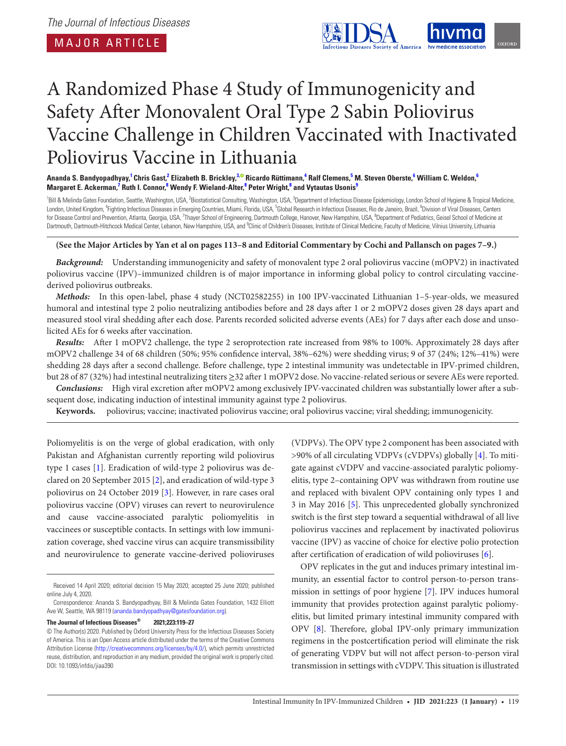MAJOR ARTICLE

<span id="page-0-7"></span><span id="page-0-5"></span><span id="page-0-2"></span>

# A Randomized Phase 4 Study of Immunogenicity and Safety After Monovalent Oral Type 2 Sabin Poliovirus Vaccine Challenge in Children Vaccinated with Inactivated Poliovirus Vaccine in Lithuania

Ananda S. Bandyopadhyay,<sup>[1](#page-0-0)</sup> Chris Gast,<sup>2</sup> Elizabeth B. Brickley,<sup>[3](#page-0-2),©</sup> Ricardo Rüttimann,<sup>[4](#page-0-3)</sup> Ralf Clemens,<sup>5</sup> M. Steven Oberste,<sup>[6](#page-0-5)</sup> William C. Weldon,<sup>6</sup>  $M$ argaret E. Ackerman, $^7$  $^7$  Ruth I. Connor, $^8$  $^8$  Wendy F. Wieland-Alter, $^8$  Peter Wright, $^8$  and Vytautas Usonis $^9$  $^9$ 

<span id="page-0-6"></span><span id="page-0-3"></span><span id="page-0-1"></span><span id="page-0-0"></span><sup>1</sup>Bill & Melinda Gates Foundation, Seattle, Washington, USA, <sup>2</sup>Biostatistical Consulting, Washington, USA, <sup>3</sup>Department of Infectious Disease Epidemiology, London School of Hygiene & Tropical Medicine, London, United Kingdom, <sup>4</sup>Fighting Infectious Diseases in Emerging Countries, Miami, Florida, USA, <sup>5</sup>Global Research in Infectious Diseases, Rio de Janeiro, Brazil, <sup>6</sup>Division of Viral Diseases, Centers for Disease Control and Prevention, Atlanta, Georgia, USA, <sup>7</sup>Thayer School of Engineering, Dartmouth College, Hanover, New Hampshire, USA, <sup>8</sup>Department of Pediatrics, Geisel School of Medicine at Dartmouth, Dartmouth-Hitchcock Medical Center, Lebanon, New Hampshire, USA, and <sup>9</sup>Clinic of Children's Diseases, Institute of Clinical Medicine, Faculty of Medicine, Vilnius University, Lithuania

## <span id="page-0-8"></span><span id="page-0-4"></span>**(See the Major Articles by Yan et al on pages 113–8 and Editorial Commentary by Cochi and Pallansch on pages 7–9.)**

*Background:* Understanding immunogenicity and safety of monovalent type 2 oral poliovirus vaccine (mOPV2) in inactivated poliovirus vaccine (IPV)–immunized children is of major importance in informing global policy to control circulating vaccinederived poliovirus outbreaks.

*Methods:* In this open-label, phase 4 study (NCT02582255) in 100 IPV-vaccinated Lithuanian 1–5-year-olds, we measured humoral and intestinal type 2 polio neutralizing antibodies before and 28 days after 1 or 2 mOPV2 doses given 28 days apart and measured stool viral shedding after each dose. Parents recorded solicited adverse events (AEs) for 7 days after each dose and unsolicited AEs for 6 weeks after vaccination.

*Results:* After 1 mOPV2 challenge, the type 2 seroprotection rate increased from 98% to 100%. Approximately 28 days after mOPV2 challenge 34 of 68 children (50%; 95% confidence interval, 38%–62%) were shedding virus; 9 of 37 (24%; 12%–41%) were shedding 28 days after a second challenge. Before challenge, type 2 intestinal immunity was undetectable in IPV-primed children, but 28 of 87 (32%) had intestinal neutralizing titers ≥32 after 1 mOPV2 dose. No vaccine-related serious or severe AEs were reported.

*Conclusions:* High viral excretion after mOPV2 among exclusively IPV-vaccinated children was substantially lower after a subsequent dose, indicating induction of intestinal immunity against type 2 poliovirus.

**Keywords.** poliovirus; vaccine; inactivated poliovirus vaccine; oral poliovirus vaccine; viral shedding; immunogenicity.

Poliomyelitis is on the verge of global eradication, with only Pakistan and Afghanistan currently reporting wild poliovirus type 1 cases [[1](#page-7-0)]. Eradication of wild-type 2 poliovirus was declared on 20 September 2015 [[2](#page-7-1)], and eradication of wild-type 3 poliovirus on 24 October 2019 [\[3](#page-7-2)]. However, in rare cases oral poliovirus vaccine (OPV) viruses can revert to neurovirulence and cause vaccine-associated paralytic poliomyelitis in vaccinees or susceptible contacts. In settings with low immunization coverage, shed vaccine virus can acquire transmissibility and neurovirulence to generate vaccine-derived polioviruses

**The Journal of Infectious Diseases® 2021;223:119–27**

(VDPVs). The OPV type 2 component has been associated with >90% of all circulating VDPVs (cVDPVs) globally [[4](#page-7-3)]. To mitigate against cVDPV and vaccine-associated paralytic poliomyelitis, type 2–containing OPV was withdrawn from routine use and replaced with bivalent OPV containing only types 1 and 3 in May 2016 [\[5](#page-7-4)]. This unprecedented globally synchronized switch is the first step toward a sequential withdrawal of all live poliovirus vaccines and replacement by inactivated poliovirus vaccine (IPV) as vaccine of choice for elective polio protection after certification of eradication of wild polioviruses [\[6\]](#page-7-5).

OPV replicates in the gut and induces primary intestinal immunity, an essential factor to control person-to-person transmission in settings of poor hygiene [[7](#page-7-6)]. IPV induces humoral immunity that provides protection against paralytic poliomyelitis, but limited primary intestinal immunity compared with OPV [\[8](#page-7-7)]. Therefore, global IPV-only primary immunization regimens in the postcertification period will eliminate the risk of generating VDPV but will not affect person-to-person viral transmission in settings with cVDPV. This situation is illustrated

Received 14 April 2020; editorial decision 15 May 2020; accepted 25 June 2020; published online July 4, 2020.

Correspondence: Ananda S. Bandyopadhyay, Bill & Melinda Gates Foundation, 1432 Elliott Ave W, Seattle, WA 98119 ([ananda.bandyopadhyay@gatesfoundation.org\)](mailto:ananda.bandyopadhyay@gatesfoundation.org?subject=).

<sup>©</sup> The Author(s) 2020. Published by Oxford University Press for the Infectious Diseases Society of America. This is an Open Access article distributed under the terms of the Creative Commons Attribution License ([http://creativecommons.org/licenses/by/4.0/\)](http://creativecommons.org/licenses/by/4.0/), which permits unrestricted reuse, distribution, and reproduction in any medium, provided the original work is properly cited. DOI: 10.1093/infdis/jiaa390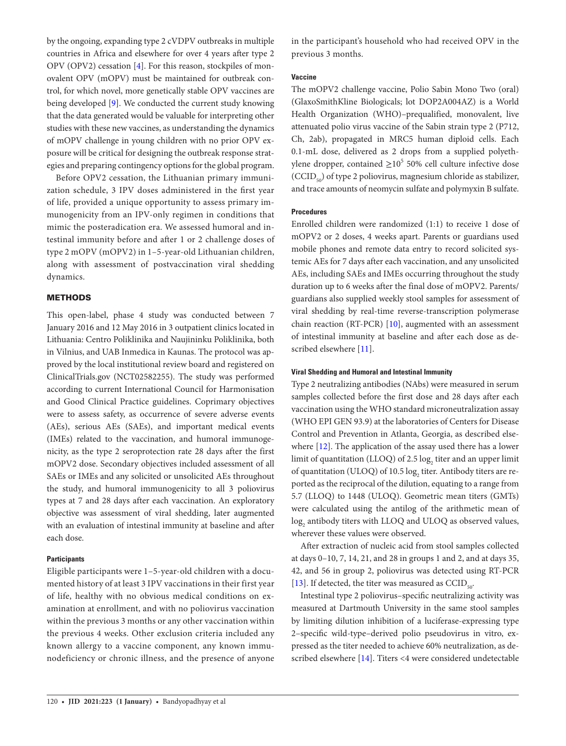by the ongoing, expanding type 2 cVDPV outbreaks in multiple countries in Africa and elsewhere for over 4 years after type 2 OPV (OPV2) cessation [\[4\]](#page-7-3). For this reason, stockpiles of monovalent OPV (mOPV) must be maintained for outbreak control, for which novel, more genetically stable OPV vaccines are being developed [\[9\]](#page-7-8). We conducted the current study knowing that the data generated would be valuable for interpreting other studies with these new vaccines, as understanding the dynamics of mOPV challenge in young children with no prior OPV exposure will be critical for designing the outbreak response strategies and preparing contingency options for the global program.

Before OPV2 cessation, the Lithuanian primary immunization schedule, 3 IPV doses administered in the first year of life, provided a unique opportunity to assess primary immunogenicity from an IPV-only regimen in conditions that mimic the posteradication era. We assessed humoral and intestinal immunity before and after 1 or 2 challenge doses of type 2 mOPV (mOPV2) in 1–5-year-old Lithuanian children, along with assessment of postvaccination viral shedding dynamics.

# **METHODS**

This open-label, phase 4 study was conducted between 7 January 2016 and 12 May 2016 in 3 outpatient clinics located in Lithuania: Centro Poliklinika and Naujininku Poliklinika, both in Vilnius, and UAB Inmedica in Kaunas. The protocol was approved by the local institutional review board and registered on ClinicalTrials.gov (NCT02582255). The study was performed according to current International Council for Harmonisation and Good Clinical Practice guidelines. Coprimary objectives were to assess safety, as occurrence of severe adverse events (AEs), serious AEs (SAEs), and important medical events (IMEs) related to the vaccination, and humoral immunogenicity, as the type 2 seroprotection rate 28 days after the first mOPV2 dose. Secondary objectives included assessment of all SAEs or IMEs and any solicited or unsolicited AEs throughout the study, and humoral immunogenicity to all 3 poliovirus types at 7 and 28 days after each vaccination. An exploratory objective was assessment of viral shedding, later augmented with an evaluation of intestinal immunity at baseline and after each dose.

# **Participants**

Eligible participants were 1–5-year-old children with a documented history of at least 3 IPV vaccinations in their first year of life, healthy with no obvious medical conditions on examination at enrollment, and with no poliovirus vaccination within the previous 3 months or any other vaccination within the previous 4 weeks. Other exclusion criteria included any known allergy to a vaccine component, any known immunodeficiency or chronic illness, and the presence of anyone

in the participant's household who had received OPV in the previous 3 months.

# **Vaccine**

The mOPV2 challenge vaccine, Polio Sabin Mono Two (oral) (GlaxoSmithKline Biologicals; lot DOP2A004AZ) is a World Health Organization (WHO)–prequalified, monovalent, live attenuated polio virus vaccine of the Sabin strain type 2 (P712, Ch, 2ab), propagated in MRC5 human diploid cells. Each 0.1-mL dose, delivered as 2 drops from a supplied polyethylene dropper, contained  $\geq 10^5$  50% cell culture infective dose  $(CCID<sub>50</sub>)$  of type 2 poliovirus, magnesium chloride as stabilizer, and trace amounts of neomycin sulfate and polymyxin B sulfate.

# **Procedures**

Enrolled children were randomized (1:1) to receive 1 dose of mOPV2 or 2 doses, 4 weeks apart. Parents or guardians used mobile phones and remote data entry to record solicited systemic AEs for 7 days after each vaccination, and any unsolicited AEs, including SAEs and IMEs occurring throughout the study duration up to 6 weeks after the final dose of mOPV2. Parents/ guardians also supplied weekly stool samples for assessment of viral shedding by real-time reverse-transcription polymerase chain reaction (RT-PCR) [\[10\]](#page-8-0), augmented with an assessment of intestinal immunity at baseline and after each dose as described elsewhere [\[11\]](#page-8-1).

## **Viral Shedding and Humoral and Intestinal Immunity**

Type 2 neutralizing antibodies (NAbs) were measured in serum samples collected before the first dose and 28 days after each vaccination using the WHO standard microneutralization assay (WHO EPI GEN 93.9) at the laboratories of Centers for Disease Control and Prevention in Atlanta, Georgia, as described elsewhere [[12\]](#page-8-2). The application of the assay used there has a lower limit of quantitation (LLOQ) of 2.5  $\log_2$  titer and an upper limit of quantitation (ULOQ) of 10.5  $\log_2$  titer. Antibody titers are reported as the reciprocal of the dilution, equating to a range from 5.7 (LLOQ) to 1448 (ULOQ). Geometric mean titers (GMTs) were calculated using the antilog of the arithmetic mean of  $\log_2$  antibody titers with LLOQ and ULOQ as observed values, wherever these values were observed.

After extraction of nucleic acid from stool samples collected at days 0–10, 7, 14, 21, and 28 in groups 1 and 2, and at days 35, 42, and 56 in group 2, poliovirus was detected using RT-PCR [\[13](#page-8-3)]. If detected, the titer was measured as  $CCID_{50}$ .

Intestinal type 2 poliovirus–specific neutralizing activity was measured at Dartmouth University in the same stool samples by limiting dilution inhibition of a luciferase-expressing type 2–specific wild-type–derived polio pseudovirus in vitro, expressed as the titer needed to achieve 60% neutralization, as described elsewhere [[14\]](#page-8-4). Titers <4 were considered undetectable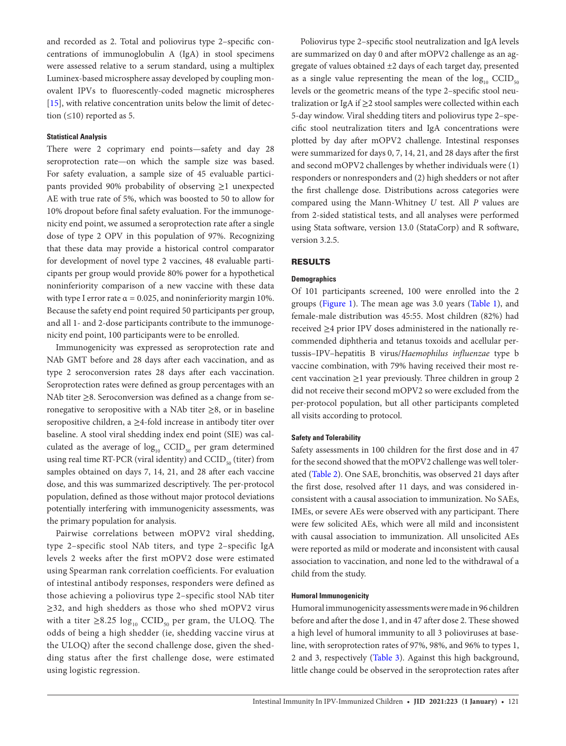and recorded as 2. Total and poliovirus type 2–specific concentrations of immunoglobulin A (IgA) in stool specimens were assessed relative to a serum standard, using a multiplex Luminex-based microsphere assay developed by coupling monovalent IPVs to fluorescently-coded magnetic microspheres [\[15](#page-8-5)], with relative concentration units below the limit of detection  $(≤10)$  reported as 5.

## **Statistical Analysis**

There were 2 coprimary end points—safety and day 28 seroprotection rate—on which the sample size was based. For safety evaluation, a sample size of 45 evaluable participants provided 90% probability of observing ≥1 unexpected AE with true rate of 5%, which was boosted to 50 to allow for 10% dropout before final safety evaluation. For the immunogenicity end point, we assumed a seroprotection rate after a single dose of type 2 OPV in this population of 97%. Recognizing that these data may provide a historical control comparator for development of novel type 2 vaccines, 48 evaluable participants per group would provide 80% power for a hypothetical noninferiority comparison of a new vaccine with these data with type I error rate  $\alpha = 0.025$ , and noninferiority margin 10%. Because the safety end point required 50 participants per group, and all 1- and 2-dose participants contribute to the immunogenicity end point, 100 participants were to be enrolled.

Immunogenicity was expressed as seroprotection rate and NAb GMT before and 28 days after each vaccination, and as type 2 seroconversion rates 28 days after each vaccination. Seroprotection rates were defined as group percentages with an NAb titer ≥8. Seroconversion was defined as a change from seronegative to seropositive with a NAb titer  $\geq 8$ , or in baseline seropositive children, a  $\geq$ 4-fold increase in antibody titer over baseline. A stool viral shedding index end point (SIE) was calculated as the average of  $log_{10}$  CCID<sub>50</sub> per gram determined using real time RT-PCR (viral identity) and  $CCID_{s0}$  (titer) from samples obtained on days 7, 14, 21, and 28 after each vaccine dose, and this was summarized descriptively. The per-protocol population, defined as those without major protocol deviations potentially interfering with immunogenicity assessments, was the primary population for analysis.

Pairwise correlations between mOPV2 viral shedding, type 2–specific stool NAb titers, and type 2–specific IgA levels 2 weeks after the first mOPV2 dose were estimated using Spearman rank correlation coefficients. For evaluation of intestinal antibody responses, responders were defined as those achieving a poliovirus type 2–specific stool NAb titer ≥32, and high shedders as those who shed mOPV2 virus with a titer  $\geq 8.25 \log_{10}$  CCID<sub>50</sub> per gram, the ULOQ. The odds of being a high shedder (ie, shedding vaccine virus at the ULOQ) after the second challenge dose, given the shedding status after the first challenge dose, were estimated using logistic regression.

Poliovirus type 2–specific stool neutralization and IgA levels are summarized on day 0 and after mOPV2 challenge as an aggregate of values obtained ±2 days of each target day, presented as a single value representing the mean of the  $log_{10}$  CCID<sub>50</sub> levels or the geometric means of the type 2–specific stool neutralization or IgA if  $\geq$ 2 stool samples were collected within each 5-day window. Viral shedding titers and poliovirus type 2–specific stool neutralization titers and IgA concentrations were plotted by day after mOPV2 challenge. Intestinal responses were summarized for days 0, 7, 14, 21, and 28 days after the first and second mOPV2 challenges by whether individuals were (1) responders or nonresponders and (2) high shedders or not after the first challenge dose. Distributions across categories were compared using the Mann-Whitney *U* test. All *P* values are from 2-sided statistical tests, and all analyses were performed using Stata software, version 13.0 (StataCorp) and R software, version 3.2.5.

## RESULTS

## **Demographics**

Of 101 participants screened, 100 were enrolled into the 2 groups [\(Figure 1\)](#page-3-0). The mean age was 3.0 years [\(Table 1](#page-4-0)), and female-male distribution was 45:55. Most children (82%) had received ≥4 prior IPV doses administered in the nationally recommended diphtheria and tetanus toxoids and acellular pertussis–IPV–hepatitis B virus/*Haemophilus influenzae* type b vaccine combination, with 79% having received their most recent vaccination  $\geq$ 1 year previously. Three children in group 2 did not receive their second mOPV2 so were excluded from the per-protocol population, but all other participants completed all visits according to protocol.

#### **Safety and Tolerability**

Safety assessments in 100 children for the first dose and in 47 for the second showed that the mOPV2 challenge was well tolerated [\(Table 2](#page-4-1)). One SAE, bronchitis, was observed 21 days after the first dose, resolved after 11 days, and was considered inconsistent with a causal association to immunization. No SAEs, IMEs, or severe AEs were observed with any participant. There were few solicited AEs, which were all mild and inconsistent with causal association to immunization. All unsolicited AEs were reported as mild or moderate and inconsistent with causal association to vaccination, and none led to the withdrawal of a child from the study.

### **Humoral Immunogenicity**

Humoral immunogenicity assessments were made in 96 children before and after the dose 1, and in 47 after dose 2. These showed a high level of humoral immunity to all 3 polioviruses at baseline, with seroprotection rates of 97%, 98%, and 96% to types 1, 2 and 3, respectively ([Table 3](#page-4-2)). Against this high background, little change could be observed in the seroprotection rates after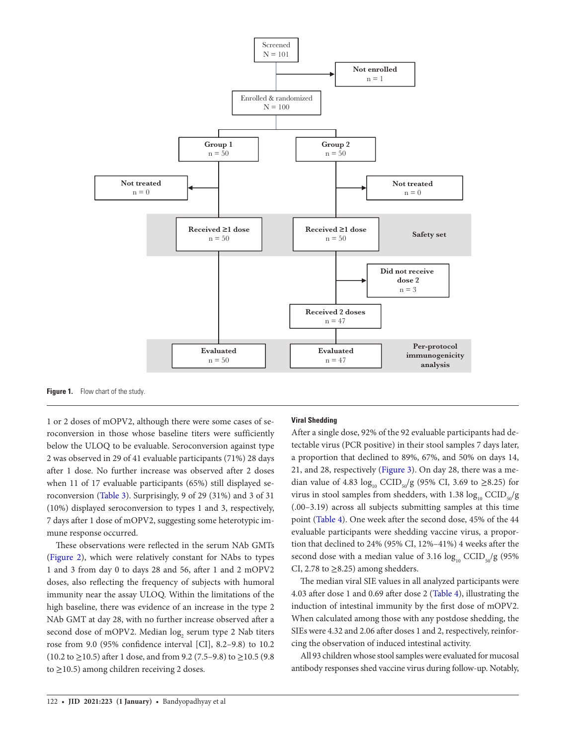

<span id="page-3-0"></span>**Figure 1.** Flow chart of the study.

1 or 2 doses of mOPV2, although there were some cases of seroconversion in those whose baseline titers were sufficiently below the ULOQ to be evaluable. Seroconversion against type 2 was observed in 29 of 41 evaluable participants (71%) 28 days after 1 dose. No further increase was observed after 2 doses when 11 of 17 evaluable participants (65%) still displayed seroconversion ([Table 3](#page-4-2)). Surprisingly, 9 of 29 (31%) and 3 of 31 (10%) displayed seroconversion to types 1 and 3, respectively, 7 days after 1 dose of mOPV2, suggesting some heterotypic immune response occurred.

These observations were reflected in the serum NAb GMTs [\(Figure 2](#page-5-0)), which were relatively constant for NAbs to types 1 and 3 from day 0 to days 28 and 56, after 1 and 2 mOPV2 doses, also reflecting the frequency of subjects with humoral immunity near the assay ULOQ. Within the limitations of the high baseline, there was evidence of an increase in the type 2 NAb GMT at day 28, with no further increase observed after a second dose of mOPV2. Median  $\log_2$  serum type 2 Nab titers rose from 9.0 (95% confidence interval [CI], 8.2–9.8) to 10.2 (10.2 to ≥10.5) after 1 dose, and from 9.2 (7.5–9.8) to ≥10.5 (9.8) to ≥10.5) among children receiving 2 doses.

# **Viral Shedding**

After a single dose, 92% of the 92 evaluable participants had detectable virus (PCR positive) in their stool samples 7 days later, a proportion that declined to 89%, 67%, and 50% on days 14, 21, and 28, respectively ([Figure 3](#page-6-0)). On day 28, there was a median value of 4.83  $\log_{10}$  CCID<sub>50</sub>/g (95% CI, 3.69 to ≥8.25) for virus in stool samples from shedders, with 1.38  $\log_{10}$  CCID<sub>50</sub>/g (.00–3.19) across all subjects submitting samples at this time point ([Table 4](#page-6-1)). One week after the second dose, 45% of the 44 evaluable participants were shedding vaccine virus, a proportion that declined to 24% (95% CI, 12%–41%) 4 weeks after the second dose with a median value of 3.16  $log_{10}$  CCID<sub>50</sub>/g (95%) CI, 2.78 to  $\geq$ 8.25) among shedders.

The median viral SIE values in all analyzed participants were 4.03 after dose 1 and 0.69 after dose 2 [\(Table 4](#page-6-1)), illustrating the induction of intestinal immunity by the first dose of mOPV2. When calculated among those with any postdose shedding, the SIEs were 4.32 and 2.06 after doses 1 and 2, respectively, reinforcing the observation of induced intestinal activity.

All 93 children whose stool samples were evaluated for mucosal antibody responses shed vaccine virus during follow-up. Notably,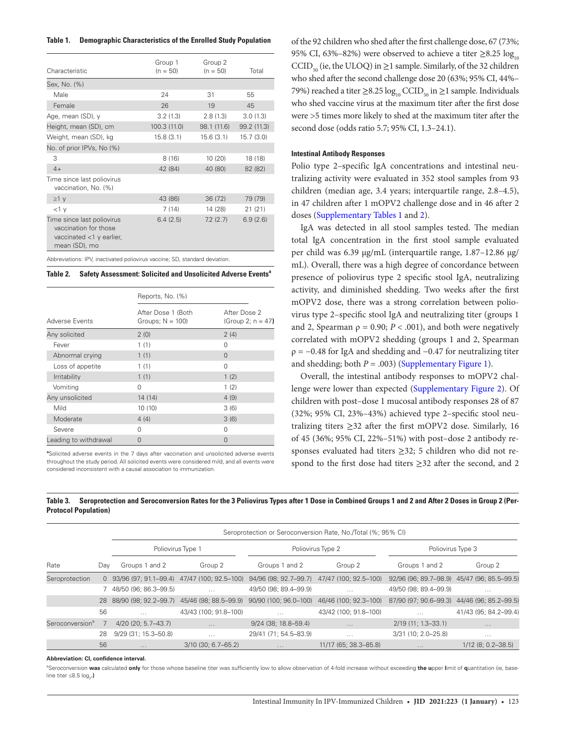<span id="page-4-0"></span>

| Table 1. |  | <b>Demographic Characteristics of the Enrolled Study Population</b> |  |  |
|----------|--|---------------------------------------------------------------------|--|--|
|----------|--|---------------------------------------------------------------------|--|--|

| Characteristic                                                                                      | Group 1<br>$(n = 50)$ | Group 2<br>$(n = 50)$ | Total       |
|-----------------------------------------------------------------------------------------------------|-----------------------|-----------------------|-------------|
| Sex, No. (%)                                                                                        |                       |                       |             |
| Male                                                                                                | 24                    | 31                    | 55          |
| Female                                                                                              | 26                    | 19                    | 45          |
| Age, mean (SD), y                                                                                   | 3.2(1.3)              | 2.8(1.3)              | 3.0(1.3)    |
| Height, mean (SD), cm                                                                               | 100.3 (11.0)          | 98.1 (11.6)           | 99.2 (11.3) |
| Weight, mean (SD), kg                                                                               | 15.8(3.1)             | 15.6(3.1)             | 15.7(3.0)   |
| No. of prior IPVs, No (%)                                                                           |                       |                       |             |
| 3                                                                                                   | 8(16)                 | 10 (20)               | 18 (18)     |
| $4+$                                                                                                | 42 (84)               | 40 (80)               | 82 (82)     |
| Time since last poliovirus<br>vaccination, No. (%)                                                  |                       |                       |             |
| $\geq 1$ y                                                                                          | 43 (86)               | 36(72)                | 79 (79)     |
| $<1$ $V$                                                                                            | 7(14)                 | 14 (28)               | 21(21)      |
| Time since last poliovirus<br>vaccination for those<br>vaccinated $<$ 1 y earlier,<br>mean (SD), mo | 6.4(2.5)              | 7.2(2.7)              | 6.9(2.6)    |

Abbreviations: IPV, inactivated poliovirus vaccine; SD, standard deviation.

<span id="page-4-1"></span>**Table 2.** Safety Assessment: Solicited and Unsolicited Adverse Events<sup>a</sup>

|                       | Reports, No. (%)                          |                                      |  |  |
|-----------------------|-------------------------------------------|--------------------------------------|--|--|
| Adverse Events        | After Dose 1 (Both<br>Groups; $N = 100$ ) | After Dose 2<br>(Group 2; $n = 47$ ) |  |  |
| Any solicited         | 2(0)                                      | 2(4)                                 |  |  |
| Fever                 | 1(1)                                      | $\Omega$                             |  |  |
| Abnormal crying       | 1(1)                                      | $\Omega$                             |  |  |
| Loss of appetite      | 1(1)                                      | $\Omega$                             |  |  |
| Irritability          | 1(1)                                      | 1(2)                                 |  |  |
| Vomiting              | $\Omega$                                  | 1(2)                                 |  |  |
| Any unsolicited       | 14 (14)                                   | 4(9)                                 |  |  |
| Mild                  | 10(10)                                    | 3(6)                                 |  |  |
| Moderate              | 4(4)                                      | 3(6)                                 |  |  |
| Severe                | $\Omega$                                  | $\Omega$                             |  |  |
| Leading to withdrawal | $\Omega$                                  | $\Omega$                             |  |  |

**a** Solicited adverse events in the 7 days after vaccination and unsolicited adverse events throughout the study period. All solicited events were considered mild, and all events were considered inconsistent with a causal association to immunization.

of the 92 children who shed after the first challenge dose, 67 (73%; 95% CI, 63%–82%) were observed to achieve a titer  $\geq$ 8.25 log<sub>10</sub> CCID<sub>50</sub> (ie, the ULOQ) in  $\geq$ 1 sample. Similarly, of the 32 children who shed after the second challenge dose 20 (63%; 95% CI, 44%– 79%) reached a titer  $\geq$ 8.25 log<sub>10</sub> CCID<sub>50</sub> in  $\geq$ 1 sample. Individuals who shed vaccine virus at the maximum titer after the first dose were >5 times more likely to shed at the maximum titer after the second dose (odds ratio 5.7; 95% CI, 1.3–24.1).

# **Intestinal Antibody Responses**

Polio type 2–specific IgA concentrations and intestinal neutralizing activity were evaluated in 352 stool samples from 93 children (median age, 3.4 years; interquartile range, 2.8–4.5), in 47 children after 1 mOPV2 challenge dose and in 46 after 2 doses [\(Supplementary Tables 1](http://academic.oup.com/jid/article-lookup/doi/10.1093/infdis/jiaa390#supplementary-data) and [2\)](http://academic.oup.com/jid/article-lookup/doi/10.1093/infdis/jiaa390#supplementary-data).

IgA was detected in all stool samples tested. The median total IgA concentration in the first stool sample evaluated per child was 6.39 μg/mL (interquartile range, 1.87–12.86 μg/ mL). Overall, there was a high degree of concordance between presence of poliovirus type 2 specific stool IgA, neutralizing activity, and diminished shedding. Two weeks after the first mOPV2 dose, there was a strong correlation between poliovirus type 2–specific stool IgA and neutralizing titer (groups 1 and 2, Spearman  $\rho = 0.90; P < .001$ ), and both were negatively correlated with mOPV2 shedding (groups 1 and 2, Spearman  $\rho = -0.48$  for IgA and shedding and  $-0.47$  for neutralizing titer and shedding; both  $P = .003$ ) [\(Supplementary Figure 1](http://academic.oup.com/jid/article-lookup/doi/10.1093/infdis/jiaa390#supplementary-data)).

Overall, the intestinal antibody responses to mOPV2 challenge were lower than expected [\(Supplementary Figure 2\)](http://academic.oup.com/jid/article-lookup/doi/10.1093/infdis/jiaa390#supplementary-data). Of children with post–dose 1 mucosal antibody responses 28 of 87 (32%; 95% CI, 23%–43%) achieved type 2–specific stool neutralizing titers ≥32 after the first mOPV2 dose. Similarly, 16 of 45 (36%; 95% CI, 22%–51%) with post–dose 2 antibody responses evaluated had titers ≥32; 5 children who did not respond to the first dose had titers ≥32 after the second, and 2

|                             | Seroprotection or Seroconversion Rate, No./Total (%; 95% CI) |                         |                                               |                                                                   |                       |                                             |                       |
|-----------------------------|--------------------------------------------------------------|-------------------------|-----------------------------------------------|-------------------------------------------------------------------|-----------------------|---------------------------------------------|-----------------------|
|                             |                                                              | Poliovirus Type 1       |                                               | Poliovirus Type 2                                                 |                       | Poliovirus Type 3                           |                       |
| Rate                        | Dav                                                          | Groups 1 and 2          | Group 2                                       | Groups 1 and 2                                                    | Group 2               | Groups 1 and 2                              | Group 2               |
| Seroprotection              |                                                              |                         | 0 93/96 (97; 91.1-99.4) 47/47 (100; 92.5-100) | 94/96 (98; 92.7–99.7)                                             | 47/47 (100; 92.5–100) | 92/96 (96; 89.7-98.9) 45/47 (96; 85.5-99.5) |                       |
|                             |                                                              | 7 48/50 (96; 86.3-99.5) | $\cdots$                                      | 49/50 (98; 89.4-99.9)                                             | $\cdots$              | 49/50 (98; 89.4-99.9)                       | $\cdots$              |
|                             | 28                                                           |                         |                                               | 88/90 (98; 92.2-99.7) 45/46 (98; 88.5-99.9) 90/90 (100; 96.0-100) | 46/46 (100; 92.3-100) | 87/90 (97; 90.6-99.3) 44/46 (96; 85.2-99.5) |                       |
|                             | 56                                                           | $\cdots$                | 43/43 (100; 91.8-100)                         | $\cdots$                                                          | 43/42 (100; 91.8-100) | $\cdots$                                    | 41/43 (95; 84.2-99.4) |
| Seroconversion <sup>a</sup> |                                                              | $4/20$ (20; 5.7–43.7)   | $\cdots$                                      | $9/24$ (38; 18.8-59.4)                                            | $\sim$ $\sim$         | $2/19$ (11; 1.3–33.1)                       | $\cdots$              |
|                             | 28                                                           | 9/29 (31; 15.3-50.8)    | $\cdots$                                      | 29/41 (71; 54.5-83.9)                                             | $\cdots$              | 3/31 (10; 2.0-25.8)                         | $\cdots$              |
|                             | 56                                                           | $\cdots$                | $3/10$ (30; 6.7–65.2)                         | $\cdots$                                                          | 11/17 (65; 38.3–85.8) | $\cdots$                                    | $1/12$ (8; 0.2-38.5)  |

<span id="page-4-2"></span>**Table 3. Seroprotection and Seroconversion Rates for the 3 Poliovirus Types after 1 Dose in Combined Groups 1 and 2 and After 2 Doses in Group 2 (Per-Protocol Population)**

#### **Abbreviation: CI, confidence interval.**

a Seroconversion **was** calculated **only** for those whose baseline titer was sufficiently low to allow observation of 4-fold increase without exceeding **the u**pper **l**imit of **q**uantitation (ie, baseline titer ≤8.5 log<sub>2</sub>**.)**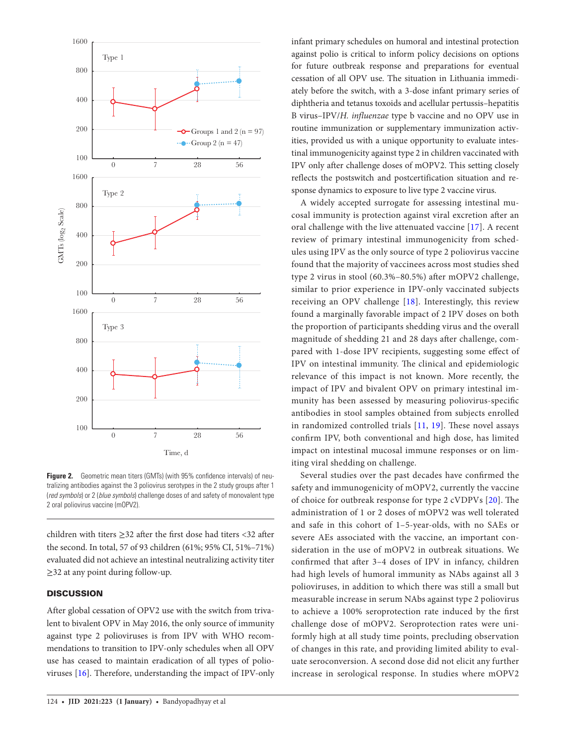

<span id="page-5-0"></span>**Figure 2.** Geometric mean titers (GMTs) (with 95% confidence intervals) of neutralizing antibodies against the 3 poliovirus serotypes in the 2 study groups after 1 (*red symbols*) or 2 (*blue symbols*) challenge doses of and safety of monovalent type 2 oral poliovirus vaccine (mOPV2).

children with titers ≥32 after the first dose had titers <32 after the second. In total, 57 of 93 children (61%; 95% CI, 51%–71%) evaluated did not achieve an intestinal neutralizing activity titer ≥32 at any point during follow-up.

# **DISCUSSION**

After global cessation of OPV2 use with the switch from trivalent to bivalent OPV in May 2016, the only source of immunity against type 2 polioviruses is from IPV with WHO recommendations to transition to IPV-only schedules when all OPV use has ceased to maintain eradication of all types of polioviruses [[16\]](#page-8-6). Therefore, understanding the impact of IPV-only

infant primary schedules on humoral and intestinal protection against polio is critical to inform policy decisions on options for future outbreak response and preparations for eventual cessation of all OPV use. The situation in Lithuania immediately before the switch, with a 3-dose infant primary series of diphtheria and tetanus toxoids and acellular pertussis–hepatitis B virus–IPV/*H. influenzae* type b vaccine and no OPV use in routine immunization or supplementary immunization activities, provided us with a unique opportunity to evaluate intestinal immunogenicity against type 2 in children vaccinated with IPV only after challenge doses of mOPV2. This setting closely reflects the postswitch and postcertification situation and response dynamics to exposure to live type 2 vaccine virus.

A widely accepted surrogate for assessing intestinal mucosal immunity is protection against viral excretion after an oral challenge with the live attenuated vaccine [[17](#page-8-7)]. A recent review of primary intestinal immunogenicity from schedules using IPV as the only source of type 2 poliovirus vaccine found that the majority of vaccinees across most studies shed type 2 virus in stool (60.3%–80.5%) after mOPV2 challenge, similar to prior experience in IPV-only vaccinated subjects receiving an OPV challenge [\[18\]](#page-8-8). Interestingly, this review found a marginally favorable impact of 2 IPV doses on both the proportion of participants shedding virus and the overall magnitude of shedding 21 and 28 days after challenge, compared with 1-dose IPV recipients, suggesting some effect of IPV on intestinal immunity. The clinical and epidemiologic relevance of this impact is not known. More recently, the impact of IPV and bivalent OPV on primary intestinal immunity has been assessed by measuring poliovirus-specific antibodies in stool samples obtained from subjects enrolled in randomized controlled trials [[11](#page-8-1), [19](#page-8-9)]. These novel assays confirm IPV, both conventional and high dose, has limited impact on intestinal mucosal immune responses or on limiting viral shedding on challenge.

Several studies over the past decades have confirmed the safety and immunogenicity of mOPV2, currently the vaccine of choice for outbreak response for type 2 cVDPVs [[20](#page-8-10)]. The administration of 1 or 2 doses of mOPV2 was well tolerated and safe in this cohort of 1–5-year-olds, with no SAEs or severe AEs associated with the vaccine, an important consideration in the use of mOPV2 in outbreak situations. We confirmed that after 3–4 doses of IPV in infancy, children had high levels of humoral immunity as NAbs against all 3 polioviruses, in addition to which there was still a small but measurable increase in serum NAbs against type 2 poliovirus to achieve a 100% seroprotection rate induced by the first challenge dose of mOPV2. Seroprotection rates were uniformly high at all study time points, precluding observation of changes in this rate, and providing limited ability to evaluate seroconversion. A second dose did not elicit any further increase in serological response. In studies where mOPV2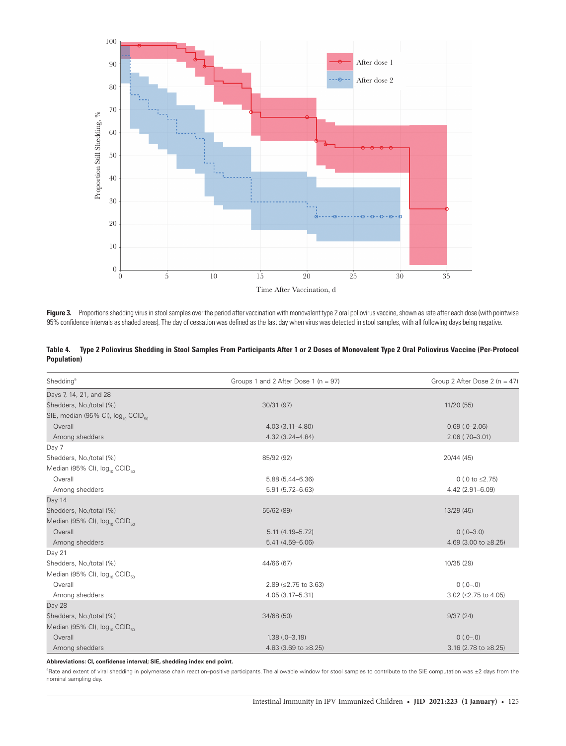

<span id="page-6-0"></span>Figure 3. Proportions shedding virus in stool samples over the period after vaccination with monovalent type 2 oral poliovirus vaccine, shown as rate after each dose (with pointwise 95% confidence intervals as shaded areas). The day of cessation was defined as the last day when virus was detected in stool samples, with all following days being negative.

<span id="page-6-1"></span>

|                     | Table 4. Type 2 Poliovirus Shedding in Stool Samples From Participants After 1 or 2 Doses of Monovalent Type 2 Oral Poliovirus Vaccine (Per-Protocol |
|---------------------|------------------------------------------------------------------------------------------------------------------------------------------------------|
| <b>Population</b> ) |                                                                                                                                                      |

| Shedding <sup>a</sup>                                      | Groups 1 and 2 After Dose 1 (n = 97) | Group 2 After Dose 2 ( $n = 47$ ) |
|------------------------------------------------------------|--------------------------------------|-----------------------------------|
| Days 7, 14, 21, and 28                                     |                                      |                                   |
| Shedders, No./total (%)                                    | 30/31 (97)                           | 11/20 (55)                        |
| SIE, median (95% CI), log <sub>10</sub> CCID <sub>50</sub> |                                      |                                   |
| Overall                                                    | $4.03(3.11 - 4.80)$                  | $0.69$ $(.0-2.06)$                |
| Among shedders                                             | $4.32(3.24 - 4.84)$                  | $2.06$ (.70-3.01)                 |
| Day 7                                                      |                                      |                                   |
| Shedders, No./total (%)                                    | 85/92 (92)                           | 20/44 (45)                        |
| Median (95% CI), log <sub>10</sub> CCID <sub>50</sub>      |                                      |                                   |
| Overall                                                    | $5.88(5.44 - 6.36)$                  | 0 (.0 to $\leq$ 2.75)             |
| Among shedders                                             | $5.91(5.72 - 6.63)$                  | 4.42 (2.91-6.09)                  |
| Day 14                                                     |                                      |                                   |
| Shedders, No./total (%)                                    | 55/62 (89)                           | 13/29 (45)                        |
| Median (95% CI), log <sub>10</sub> CCID <sub>50</sub>      |                                      |                                   |
| Overall                                                    | $5.11(4.19 - 5.72)$                  | $0(.0-3.0)$                       |
| Among shedders                                             | $5.41(4.59 - 6.06)$                  | 4.69 (3.00 to ≥8.25)              |
| Day 21                                                     |                                      |                                   |
| Shedders, No./total (%)                                    | 44/66 (67)                           | 10/35 (29)                        |
| Median (95% CI), log <sub>10</sub> CCID <sub>50</sub>      |                                      |                                   |
| Overall                                                    | 2.89 (≤2.75 to 3.63)                 | $0(.0-.0)$                        |
| Among shedders                                             | $4.05(3.17 - 5.31)$                  | 3.02 (≤2.75 to 4.05)              |
| Day 28                                                     |                                      |                                   |
| Shedders, No./total (%)                                    | 34/68 (50)                           | 9/37(24)                          |
| Median (95% CI), log <sub>10</sub> CCID <sub>50</sub>      |                                      |                                   |
| Overall                                                    | $1.38(.0 - 3.19)$                    | $0(.0-.0)$                        |
| Among shedders                                             | 4.83 (3.69 to ≥8.25)                 | 3.16 (2.78 to ≥8.25)              |

**Abbreviations: CI, confidence interval; SIE, shedding index end point.**

<sup>a</sup>Rate and extent of viral shedding in polymerase chain reaction–positive participants. The allowable window for stool samples to contribute to the SIE computation was ±2 days from the nominal sampling day.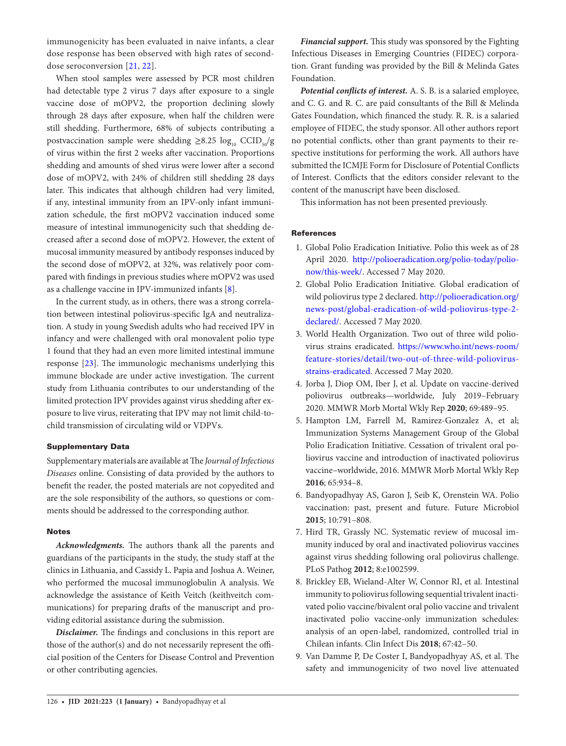immunogenicity has been evaluated in naive infants, a clear dose response has been observed with high rates of seconddose seroconversion [\[21,](#page-8-11) [22\]](#page-8-12).

When stool samples were assessed by PCR most children had detectable type 2 virus 7 days after exposure to a single vaccine dose of mOPV2, the proportion declining slowly through 28 days after exposure, when half the children were still shedding. Furthermore, 68% of subjects contributing a postvaccination sample were shedding  $\geq 8.25 \log_{10} \text{CCID}_{50}/g$ of virus within the first 2 weeks after vaccination. Proportions shedding and amounts of shed virus were lower after a second dose of mOPV2, with 24% of children still shedding 28 days later. This indicates that although children had very limited, if any, intestinal immunity from an IPV-only infant immunization schedule, the first mOPV2 vaccination induced some measure of intestinal immunogenicity such that shedding decreased after a second dose of mOPV2. However, the extent of mucosal immunity measured by antibody responses induced by the second dose of mOPV2, at 32%, was relatively poor compared with findings in previous studies where mOPV2 was used as a challenge vaccine in IPV-immunized infants [[8](#page-7-7)].

In the current study, as in others, there was a strong correlation between intestinal poliovirus-specific IgA and neutralization. A study in young Swedish adults who had received IPV in infancy and were challenged with oral monovalent polio type 1 found that they had an even more limited intestinal immune response [\[23](#page-8-13)]. The immunologic mechanisms underlying this immune blockade are under active investigation. The current study from Lithuania contributes to our understanding of the limited protection IPV provides against virus shedding after exposure to live virus, reiterating that IPV may not limit child-tochild transmission of circulating wild or VDPVs.

## Supplementary Data

Supplementary materials are available at The *Journal of Infectious Diseases* online. Consisting of data provided by the authors to benefit the reader, the posted materials are not copyedited and are the sole responsibility of the authors, so questions or comments should be addressed to the corresponding author.

## Notes

*Acknowledgments.* The authors thank all the parents and guardians of the participants in the study, the study staff at the clinics in Lithuania, and Cassidy L. Papia and Joshua A. Weiner, who performed the mucosal immunoglobulin A analysis. We acknowledge the assistance of Keith Veitch (keithveitch communications) for preparing drafts of the manuscript and providing editorial assistance during the submission.

*Disclaimer.* The findings and conclusions in this report are those of the author(s) and do not necessarily represent the official position of the Centers for Disease Control and Prevention or other contributing agencies.

*Financial support.* This study was sponsored by the Fighting Infectious Diseases in Emerging Countries (FIDEC) corporation. Grant funding was provided by the Bill & Melinda Gates Foundation.

*Potential conflicts of interest.* A. S. B. is a salaried employee, and C. G. and R. C. are paid consultants of the Bill & Melinda Gates Foundation, which financed the study. R. R. is a salaried employee of FIDEC, the study sponsor. All other authors report no potential conflicts, other than grant payments to their respective institutions for performing the work. All authors have submitted the ICMJE Form for Disclosure of Potential Conflicts of Interest. Conflicts that the editors consider relevant to the content of the manuscript have been disclosed.

This information has not been presented previously.

# **References**

- <span id="page-7-0"></span>1. Global Polio Eradication Initiative. Polio this week as of 28 April 2020. [http://polioeradication.org/polio-today/polio](http://polioeradication.org/polio-today/polio-now/this-week/)[now/this-week/](http://polioeradication.org/polio-today/polio-now/this-week/). Accessed 7 May 2020.
- <span id="page-7-1"></span>2. Global Polio Eradication Initiative. Global eradication of wild poliovirus type 2 declared. [http://polioeradication.org/](http://polioeradication.org/news-post/global-eradication-of-wild-poliovirus-type-2-declared/) [news-post/global-eradication-of-wild-poliovirus-type-2](http://polioeradication.org/news-post/global-eradication-of-wild-poliovirus-type-2-declared/) [declared/](http://polioeradication.org/news-post/global-eradication-of-wild-poliovirus-type-2-declared/). Accessed 7 May 2020.
- <span id="page-7-2"></span>3. World Health Organization. Two out of three wild poliovirus strains eradicated. [https://www.who.int/news-room/](https://www.who.int/news-room/feature-stories/detail/two-out-of-three-wild-poliovirus-strains-eradicated) [feature-stories/detail/two-out-of-three-wild-poliovirus](https://www.who.int/news-room/feature-stories/detail/two-out-of-three-wild-poliovirus-strains-eradicated)[strains-eradicated.](https://www.who.int/news-room/feature-stories/detail/two-out-of-three-wild-poliovirus-strains-eradicated) Accessed 7 May 2020.
- <span id="page-7-3"></span>4. Jorba J, Diop OM, Iber J, et al. Update on vaccine-derived poliovirus outbreaks—worldwide, July 2019–February 2020. MMWR Morb Mortal Wkly Rep **2020**; 69:489–95.
- <span id="page-7-4"></span>5. Hampton LM, Farrell M, Ramirez-Gonzalez A, et al; Immunization Systems Management Group of the Global Polio Eradication Initiative. Cessation of trivalent oral poliovirus vaccine and introduction of inactivated poliovirus vaccine–worldwide, 2016. MMWR Morb Mortal Wkly Rep **2016**; 65:934–8.
- <span id="page-7-5"></span>6. Bandyopadhyay AS, Garon J, Seib K, Orenstein WA. Polio vaccination: past, present and future. Future Microbiol **2015**; 10:791–808.
- <span id="page-7-6"></span>7. Hird TR, Grassly NC. Systematic review of mucosal immunity induced by oral and inactivated poliovirus vaccines against virus shedding following oral poliovirus challenge. PLoS Pathog **2012**; 8:e1002599.
- <span id="page-7-7"></span>8. Brickley EB, Wieland-Alter W, Connor RI, et al. Intestinal immunity to poliovirus following sequential trivalent inactivated polio vaccine/bivalent oral polio vaccine and trivalent inactivated polio vaccine-only immunization schedules: analysis of an open-label, randomized, controlled trial in Chilean infants. Clin Infect Dis **2018**; 67:42–50.
- <span id="page-7-8"></span>9. Van Damme P, De Coster I, Bandyopadhyay AS, et al. The safety and immunogenicity of two novel live attenuated